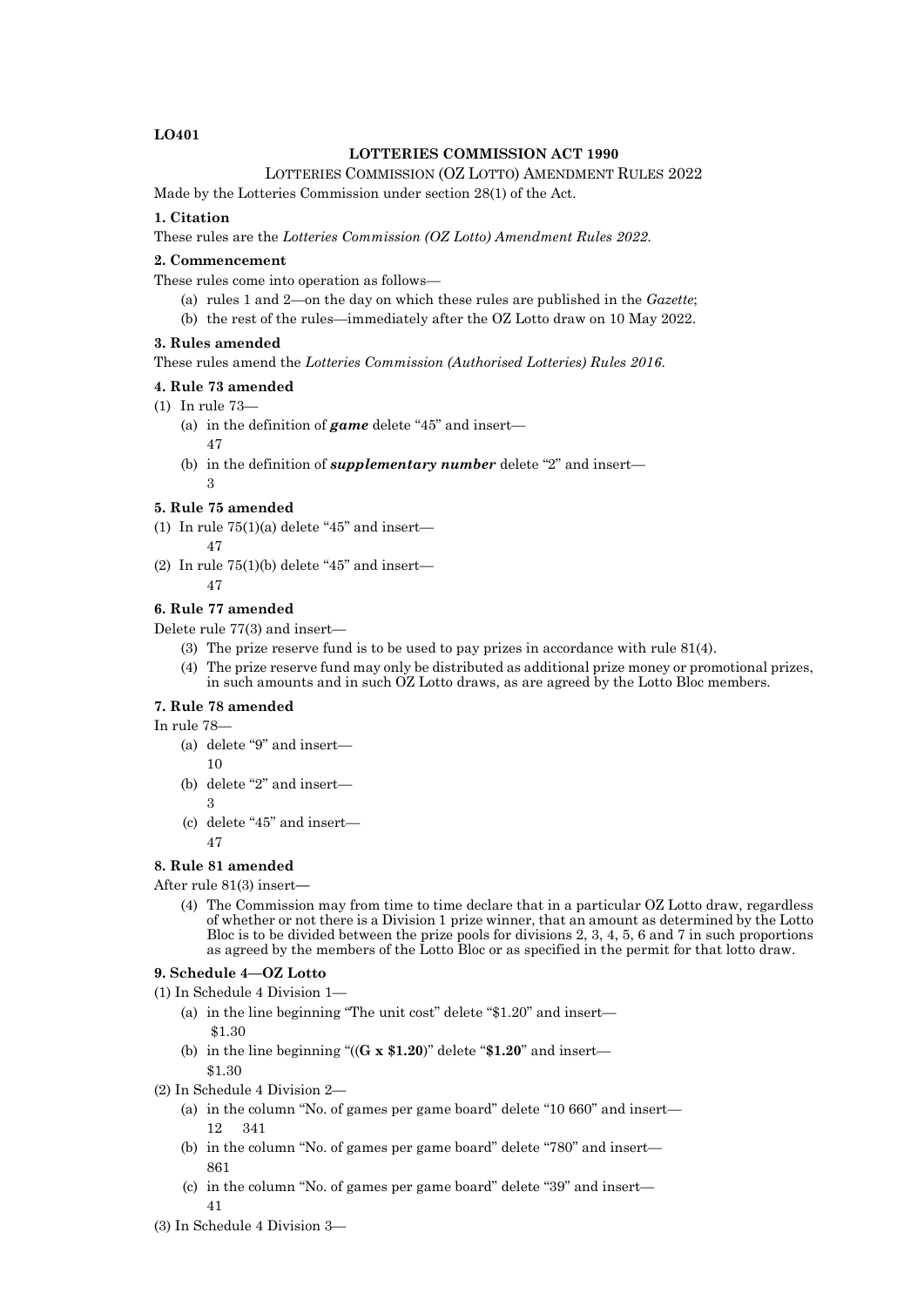# **LO401**

# **LOTTERIES COMMISSION ACT 1990**

### LOTTERIES COMMISSION (OZ LOTTO) AMENDMENT RULES 2022

Made by the Lotteries Commission under section 28(1) of the Act.

# **1. Citation**

These rules are the *Lotteries Commission (OZ Lotto) Amendment Rules 2022*.

# **2. Commencement**

These rules come into operation as follows—

- (a) rules 1 and 2—on the day on which these rules are published in the *Gazette*;
- (b) the rest of the rules—immediately after the OZ Lotto draw on 10 May 2022.

#### **3. Rules amended**

These rules amend the *Lotteries Commission (Authorised Lotteries) Rules 2016*.

### **4. Rule 73 amended**

- (1) In rule 73—
	- (a) in the definition of *game* delete "45" and insert—
		- 47
	- (b) in the definition of *supplementary number* delete "2" and insert— 3

# **5. Rule 75 amended**

(1) In rule  $75(1)(a)$  delete "45" and insert—

47

(2) In rule  $75(1)(b)$  delete "45" and insert—

47

# **6. Rule 77 amended**

Delete rule 77(3) and insert—

- (3) The prize reserve fund is to be used to pay prizes in accordance with rule 81(4).
- (4) The prize reserve fund may only be distributed as additional prize money or promotional prizes, in such amounts and in such OZ Lotto draws, as are agreed by the Lotto Bloc members.

#### **7. Rule 78 amended**

#### In rule 78—

- (a) delete "9" and insert— 10
- (b) delete "2" and insert— 3
- (c) delete "45" and insert— 47

# **8. Rule 81 amended**

After rule 81(3) insert-

(4) The Commission may from time to time declare that in a particular OZ Lotto draw, regardless of whether or not there is a Division 1 prize winner, that an amount as determined by the Lotto Bloc is to be divided between the prize pools for divisions 2, 3, 4, 5, 6 and 7 in such proportions as agreed by the members of the Lotto Bloc or as specified in the permit for that lotto draw.

#### **9. Schedule 4—OZ Lotto**

(1) In Schedule 4 Division 1—

- (a) in the line beginning "The unit cost" delete "\$1.20" and insert— \$1.30
- (b) in the line beginning "((**G x \$1.20**)" delete "**\$1.20**" and insert— \$1.30
- (2) In Schedule 4 Division 2—
	- (a) in the column "No. of games per game board" delete "10 660" and insert— 12 341
	- (b) in the column "No. of games per game board" delete "780" and insert— 861
	- (c) in the column "No. of games per game board" delete "39" and insert— 41
- (3) In Schedule 4 Division 3—